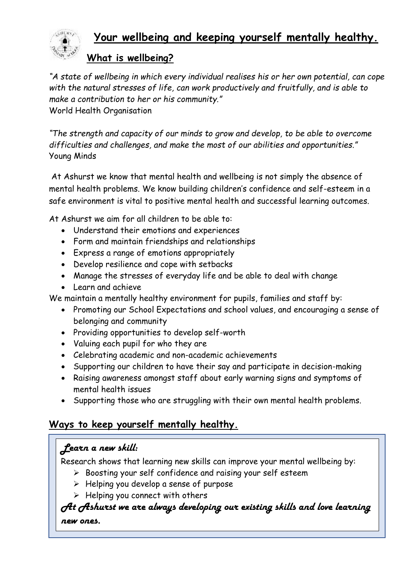

## **Your wellbeing and keeping yourself mentally healthy.**

#### **What is wellbeing?**

*"A state of wellbeing in which every individual realises his or her own potential, can cope with the natural stresses of life, can work productively and fruitfully, and is able to make a contribution to her or his community."* World Health Organisation

*"The strength and capacity of our minds to grow and develop, to be able to overcome difficulties and challenges, and make the most of our abilities and opportunities."* Young Minds

At Ashurst we know that mental health and wellbeing is not simply the absence of mental health problems. We know building children's confidence and self-esteem in a safe environment is vital to positive mental health and successful learning outcomes.

At Ashurst we aim for all children to be able to:

- Understand their emotions and experiences
- Form and maintain friendships and relationships
- Express a range of emotions appropriately
- Develop resilience and cope with setbacks
- Manage the stresses of everyday life and be able to deal with change
- Learn and achieve

We maintain a mentally healthy environment for pupils, families and staff by:

- Promoting our School Expectations and school values, and encouraging a sense of belonging and community
- Providing opportunities to develop self-worth
- Valuing each pupil for who they are
- Celebrating academic and non-academic achievements
- Supporting our children to have their say and participate in decision-making
- Raising awareness amongst staff about early warning signs and symptoms of mental health issues
- Supporting those who are struggling with their own mental health problems.

## **Ways to keep yourself mentally healthy.**

#### *Learn a new skill:*

Research shows that learning new skills can improve your mental wellbeing by:

- ➢ Boosting your self confidence and raising your self esteem
- $\triangleright$  Helping you develop a sense of purpose
- $\triangleright$  Helping you connect with others

#### *At Ashurst we are always developing our existing skills and love learning new ones.*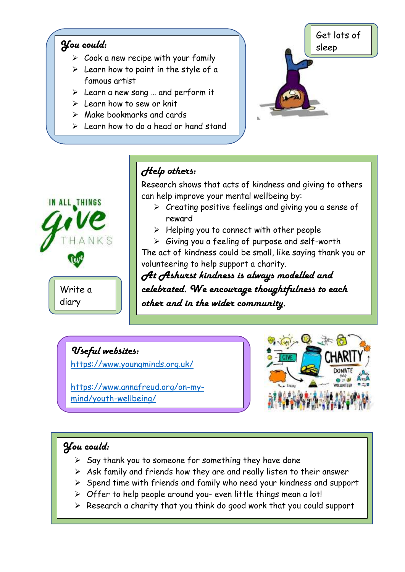### *You could:*

 $\overline{\phantom{a}}$ 

- $\triangleright$  Cook a new recipe with your family
- $\triangleright$  Learn how to paint in the style of a famous artist
- $\triangleright$  Learn a new song ... and perform it
- $\geq$  Learn how to sew or knit
- $\triangleright$  Make bookmarks and cards
- ➢ Learn how to do a head or hand stand





# *Help others:*

Research shows that acts of kindness and giving to others can help improve your mental wellbeing by:

- ➢ Creating positive feelings and giving you a sense of reward
- $\triangleright$  Helping you to connect with other people

➢ Giving you a feeling of purpose and self-worth The act of kindness could be small, like saying thank you or volunteering to help support a charity.

*At Ashurst kindness is always modelled and celebrated. We encourage thoughtfulness to each other and in the wider community.*

## *Useful websites:*

<https://www.youngminds.org.uk/>

[https://www.annafreud.org/on-my](https://www.annafreud.org/on-my-mind/youth-wellbeing/)[mind/youth-wellbeing/](https://www.annafreud.org/on-my-mind/youth-wellbeing/)



## *You could:*

I

- $\triangleright$  Say thank you to someone for something they have done
- $\triangleright$  Ask family and friends how they are and really listen to their answer
- ➢ Spend time with friends and family who need your kindness and support
- ➢ Offer to help people around you- even little things mean a lot!
- ➢ Research a charity that you think do good work that you could support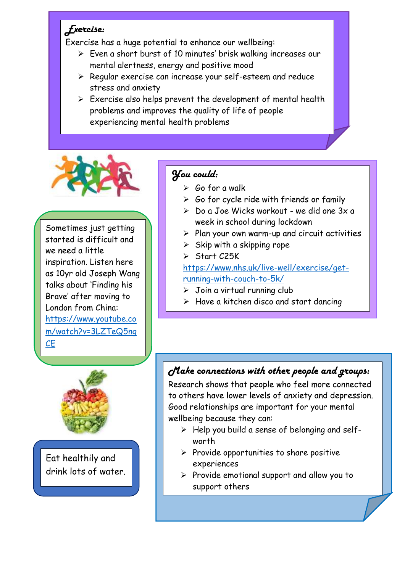## *Exercise:*

Exercise has a huge potential to enhance our wellbeing:

- ➢ Even a short burst of 10 minutes' brisk walking increases our mental alertness, energy and positive mood
- ➢ Regular exercise can increase your self-esteem and reduce stress and anxiety
- $\triangleright$  Exercise also helps prevent the development of mental health problems and improves the quality of life of people experiencing mental health problems



Sometimes just getting started is difficult and we need a little inspiration. Listen here as 10yr old Joseph Wang talks about 'Finding his Brave' after moving to London from China: [https://www.youtube.co](https://www.youtube.com/watch?v=3LZTeQ5ngCE) [m/watch?v=3LZTeQ5ng](https://www.youtube.com/watch?v=3LZTeQ5ngCE) [CE](https://www.youtube.com/watch?v=3LZTeQ5ngCE)

## *You could:*

- $\triangleright$  Go for a walk
- $\triangleright$  Go for cycle ride with friends or family
- $\geq$  Do a Joe Wicks workout we did one  $3x$  a week in school during lockdown
- $\triangleright$  Plan your own warm-up and circuit activities
- $\triangleright$  Skip with a skipping rope
- ➢ Start C25K

[https://www.nhs.uk/live-well/exercise/get](https://www.nhs.uk/live-well/exercise/get-running-with-couch-to-5k/)[running-with-couch-to-5k/](https://www.nhs.uk/live-well/exercise/get-running-with-couch-to-5k/)

 $\triangleright$  Join a virtual running club

 $\triangleright$  Have a kitchen disco and start dancing

# *Make connections with other people and groups:*

Research shows that people who feel more connected to others have lower levels of anxiety and depression. Good relationships are important for your mental wellbeing because they can:

- ➢ Help you build a sense of belonging and selfworth
- $\triangleright$  Provide opportunities to share positive experiences
- ➢ Provide emotional support and allow you to support others



L

Eat healthily and drink lots of water.

j